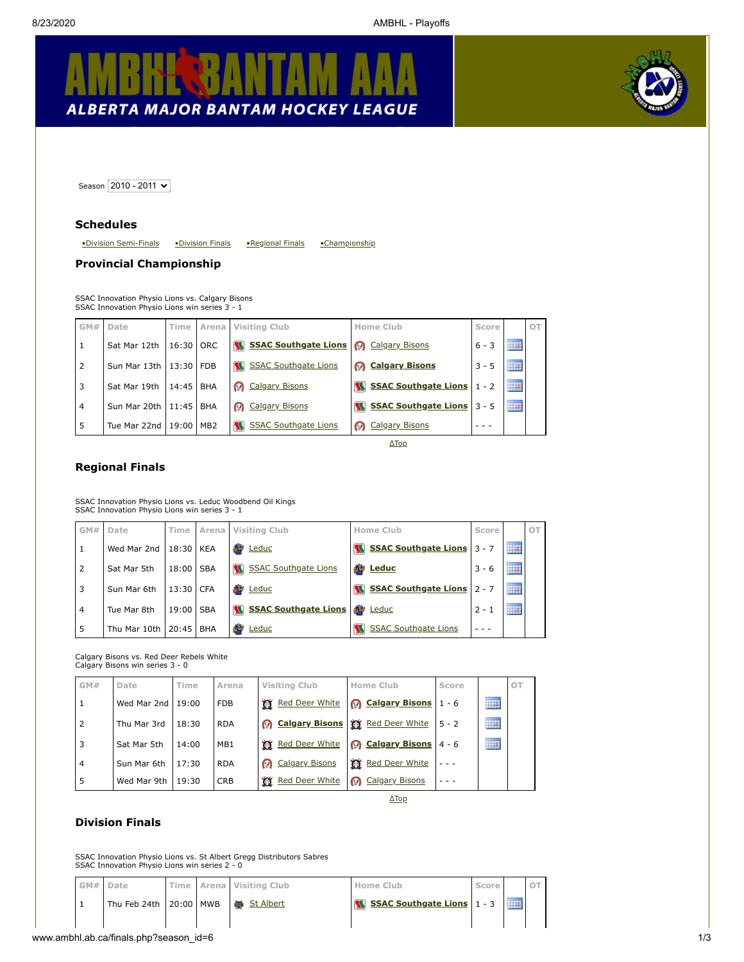



<span id="page-0-3"></span>Season 2010 - 2011 V

#### **Schedules**

<span id="page-0-2"></span>[•Division Semi-Finals](#page-1-0) [•Division Finals](#page-0-0) [•Regional Finals](#page-0-1) [•Championship](#page-0-2)

### **Provincial Championship**

SSAC Innovation Physio Lions vs. Calgary Bisons SSAC Innovation Physio Lions win series 3 - 1

| GM#            | Date                       | Time      | Arena      | Visiting Club                    | Home Club                         | Score   |                   | OT |
|----------------|----------------------------|-----------|------------|----------------------------------|-----------------------------------|---------|-------------------|----|
|                | Sat Mar 12th               | 16:30 ORC |            | <b>W</b> SSAC Southgate Lions    | Calgary Bisons                    | $6 - 3$ | ----------<br>₽   |    |
| 2              | Sun Mar 13th   13:30   FDB |           |            | M<br><b>SSAC Southgate Lions</b> | <b>B</b> Calgary Bisons           | $3 - 5$ | ----------<br>H.  |    |
| 3              | Sat Mar 19th               | 14:45     | <b>BHA</b> | <b>Calgary Bisons</b>            | SSAC Southgate Lions   1 - 2      |         | i b               |    |
| $\overline{4}$ | Sun Mar 20th   11:45   BHA |           |            | <b>@</b> Calgary Bisons          | SSAC Southgate Lions 3 - 5        |         | ----------<br>HH. |    |
|                | Tue Mar 22nd   19:00   MB2 |           |            | <b>SSAC Southgate Lions</b>      | <b>Calgary Bisons</b><br>$\Omega$ |         |                   |    |

[ΔTop](#page-0-3)

## <span id="page-0-1"></span>**Regional Finals**

SSAC Innovation Physio Lions vs. Leduc Woodbend Oil Kings SSAC Innovation Physio Lions win series 3 - 1

| GM#            | Date         |           |            | Time Arena Visiting Club          | Home Club                   | Score   |                   | OT |
|----------------|--------------|-----------|------------|-----------------------------------|-----------------------------|---------|-------------------|----|
|                | Wed Mar 2nd  | 18:30 KEA |            | Œ<br>Leduc                        | SSAC Southgate Lions 3 - 7  |         | ----------<br>H.  |    |
| 2              | Sat Mar 5th  | 18:00 SBA |            | <b>SSAC Southgate Lions</b>       | <b>Example 18</b>           | $3 - 6$ | ---------<br>₩    |    |
|                | Sun Mar 6th  | 13:30 CFA |            | œ<br>Leduc                        | SSAC Southgate Lions 2 - 7  |         | 11111111111<br>TP |    |
| $\overline{4}$ | Tue Mar 8th  | 19:00     | <b>SBA</b> | <b>SSAC Southgate Lions</b><br>ßЯ | <b>ab</b><br>Leduc          | $2 - 1$ | ---------<br>HP   |    |
| 5              | Thu Mar 10th | 20:45     | <b>BHA</b> | Ø<br>Leduc                        | <b>SSAC Southgate Lions</b> |         |                   |    |

Calgary Bisons vs. Red Deer Rebels White Calgary Bisons win series 3 - 0

| GM#            | Date        | Time  | Arena           | <b>Visiting Club</b>     | Home Club                  | Score   |                 | OT |
|----------------|-------------|-------|-----------------|--------------------------|----------------------------|---------|-----------------|----|
| 1              | Wed Mar 2nd | 19:00 | <b>FDB</b>      | <b>To Red Deer White</b> | <b>8</b> Calgary Bisons    | $1 - 6$ | HP              |    |
| $\overline{2}$ | Thu Mar 3rd | 18:30 | <b>RDA</b>      | <b>8</b> Calgary Bisons  | Red Deer White             | $5 - 2$ | ---------<br>H. |    |
| 3              | Sat Mar 5th | 14:00 | MB <sub>1</sub> | <b>To Red Deer White</b> | <b>8</b> Calgary Bisons    | $4 - 6$ | <br>ĦP          |    |
| 4              | Sun Mar 6th | 17:30 | <b>RDA</b>      | <b>@</b> Calgary Bisons  | Red Deer White             |         |                 |    |
| 5              | Wed Mar 9th | 19:30 | <b>CRB</b>      | <b>Red Deer White</b>    | ⋒<br><b>Calgary Bisons</b> |         |                 |    |
|                |             |       |                 |                          | $\Delta$ Top               |         |                 |    |

## <span id="page-0-0"></span>**Division Finals**

SSAC Innovation Physio Lions vs. St Albert Gregg Distributors Sabres SSAC Innovation Physio Lions win series 2 - 0

| GM# Date |                                          |  | Time   Arena   Visiting Club | Home Club                         | Score |  |
|----------|------------------------------------------|--|------------------------------|-----------------------------------|-------|--|
|          | Thu Feb 24th   20:00   MWB   9 St Albert |  |                              | <b>SSAC Southgate Lions</b> 1 - 3 |       |  |
|          |                                          |  |                              |                                   |       |  |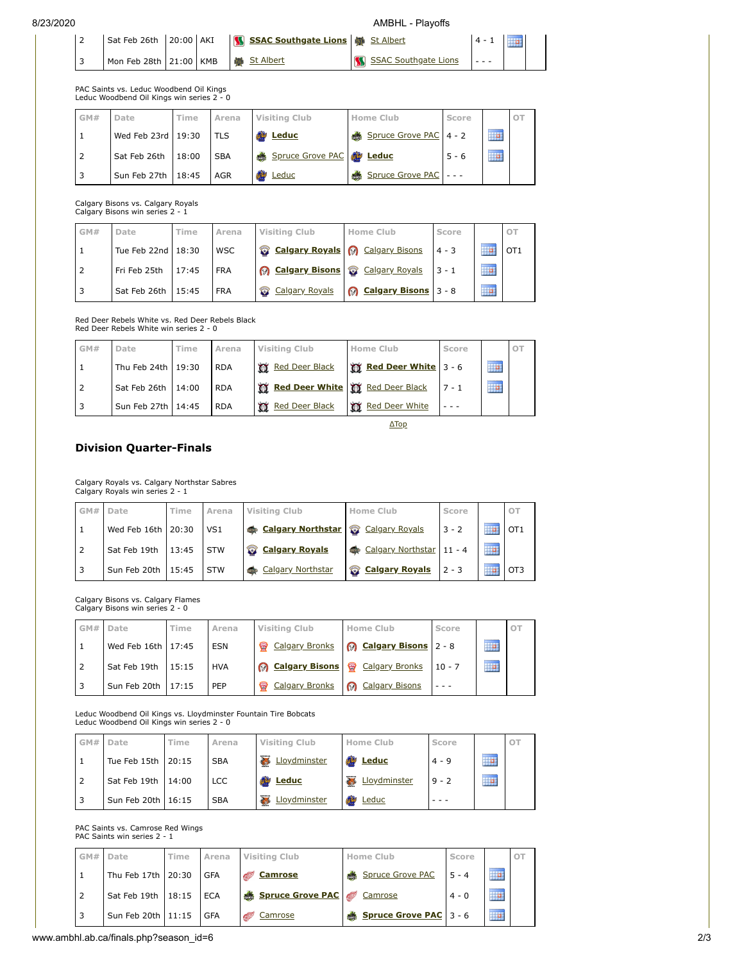| MBHL - Playoffs |  |  |
|-----------------|--|--|
|                 |  |  |

| 8/23/2020 |                        |           |                  |                                   | AMBHL - Plavoffs            |         |  |
|-----------|------------------------|-----------|------------------|-----------------------------------|-----------------------------|---------|--|
|           | Sat Feb 26th           | 20:00 AKI |                  | SSAC Southgate Lions No St Albert |                             | $4 - 1$ |  |
|           | Mon Feb 28th 21:00 KMB |           | <b>St Albert</b> |                                   | <b>SSAC Southgate Lions</b> |         |  |

PAC Saints vs. Leduc Woodbend Oil Kings Leduc Woodbend Oil Kings win series 2 - 0

| GM# | Date                 | Time | Arena       | <b>Visiting Club</b>            | <b>Home Club</b>       | Score   |                         | OT |
|-----|----------------------|------|-------------|---------------------------------|------------------------|---------|-------------------------|----|
|     | Wed Feb 23rd 19:30   |      | <b>ITLS</b> | <b>Example</b>                  | Spruce Grove PAC 4 - 2 |         | ---------<br>HP.        |    |
|     | Sat Feb 26th   18:00 |      | <b>SBA</b>  | Spruce Grove PAC <b>@ Leduc</b> |                        | $5 - 6$ | 1111111111<br><b>HP</b> |    |
|     | Sun Feb 27th 18:45   |      | <b>AGR</b>  | Leduc                           | Spruce Grove PAC       |         |                         |    |

Calgary Bisons vs. Calgary Royals Calgary Bisons win series 2 - 1

| GM# | Date                 | Time  | Arena      | <b>Visiting Club</b>                  | <b>Home Club</b>            | Score    |                  | OT              |
|-----|----------------------|-------|------------|---------------------------------------|-----------------------------|----------|------------------|-----------------|
|     | Tue Feb 22nd   18:30 |       | <b>WSC</b> | Calgary Royals   Calgary Bisons       |                             | $4 - 3$  | 11111111111      | OT <sub>1</sub> |
|     | Fri Feb 25th         | 17:45 | <b>FRA</b> | <b>Calgary Bisons Calgary Royals</b>  |                             | $13 - 1$ | ---------<br>HP. |                 |
| 3   | Sat Feb 26th         | 15:45 | <b>FRA</b> | <b>Calgary Royals</b><br>$\mathbf{Z}$ | <b>Calgary Bisons</b> 3 - 8 |          | 1111111111<br>p  |                 |

Red Deer Rebels White vs. Red Deer Rebels Black Red Deer Rebels White win series 2 - 0

| GM# | Date                 | Time | Arena      | <b>Visiting Club</b>                     | Home Club                  | Score |                  | O1 |
|-----|----------------------|------|------------|------------------------------------------|----------------------------|-------|------------------|----|
|     | Thu Feb 24th   19:30 |      | <b>RDA</b> | Red Deer Black                           | Red Deer White 3 - 6       |       | 1111111111<br>H. |    |
|     | Sat Feb 26th   14:00 |      | <b>RDA</b> | <b>W</b> Red Deer White W Red Deer Black |                            |       | ----------<br>m  |    |
|     | Sun Feb 27th   14:45 |      | <b>RDA</b> | <b>Red Deer Black</b><br>ነሽ              | <b>Red Deer White</b><br>Œ |       |                  |    |

[ΔTop](#page-0-3)

# <span id="page-1-0"></span>**Division Quarter-Finals**

Calgary Royals vs. Calgary Northstar Sabres Calgary Royals win series 2 - 1

| GM# | Date                 | Time | Arena           | <b>Visiting Club</b>               | Home Club         | Score    |            |                 |
|-----|----------------------|------|-----------------|------------------------------------|-------------------|----------|------------|-----------------|
|     | Wed Feb 16th   20:30 |      | VS <sub>1</sub> | Calgary Northstar & Calgary Royals |                   | $3 - 2$  | ---------- | OT <sub>1</sub> |
|     | Sat Feb 19th   13:45 |      | <b>STW</b>      | <b>Calgary Royals</b>              | Calgary Northstar | $11 - 4$ | <br>HH.    |                 |
|     | Sun Feb 20th   15:45 |      | <b>STW</b>      | Calgary Northstar                  | Calgary Royals    | $2 - 3$  | ---------- | OT <sub>3</sub> |

Calgary Bisons vs. Calgary Flames Calgary Bisons win series 2 - 0

| GM# | Date                 | Time  | Arena      | Visiting Club           | Home Club                     | Score    |                    | OT |
|-----|----------------------|-------|------------|-------------------------|-------------------------------|----------|--------------------|----|
|     | Wed Feb 16th   17:45 |       | <b>ESN</b> | Calgary Bronks          | <b>Q</b> Calgary Bisons 2 - 8 |          | ---------<br>ille. |    |
|     | Sat Feb 19th         | 15:15 | <b>HVA</b> | <b>@</b> Calgary Bisons | Calgary Bronks                | $10 - 7$ | *********<br>▦     |    |
|     | Sun Feb 20th   17:15 |       | PEP        | Calgary Bronks          | <b>B</b> Calgary Bisons       |          |                    |    |

Leduc Woodbend Oil Kings vs. Lloydminster Fountain Tire Bobcats Leduc Woodbend Oil Kings win series 2 - 0

|   | GM# Date             | Time | Arena      | Visiting Club | Home Club      | Score   |                    |  |
|---|----------------------|------|------------|---------------|----------------|---------|--------------------|--|
|   | Tue Feb 15th   20:15 |      | <b>SBA</b> | Lloydminster  | <b>Example</b> | $4 - 9$ | 1111111111<br>HP.  |  |
|   | Sat Feb 19th 14:00   |      | LCC        | <b>Reduc</b>  | Lloydminster   | $9 - 2$ | 11111111111<br>HP. |  |
| 3 | Sun Feb 20th   16:15 |      | <b>SBA</b> | Lloydminster  | œ<br>Leduc     |         |                    |  |

PAC Saints vs. Camrose Red Wings PAC Saints win series 2 - 1

|  | GM# Date           | Time | Arena      | Visiting Club                | Home Club              | Score    |                  | OT. |
|--|--------------------|------|------------|------------------------------|------------------------|----------|------------------|-----|
|  | Thu Feb 17th 20:30 |      | <b>GFA</b> | <b>Camrose</b>               | Spruce Grove PAC       | $15 - 4$ | ---------<br>H a |     |
|  | Sat Feb 19th 18:15 |      | <b>ECA</b> | & Spruce Grove PAC & Camrose |                        | $4 - 0$  | ---------<br>p   |     |
|  | Sun Feb 20th 11:15 |      | <b>GFA</b> | Camrose                      | Spruce Grove PAC 3 - 6 |          | 1111111111<br>ĦP |     |